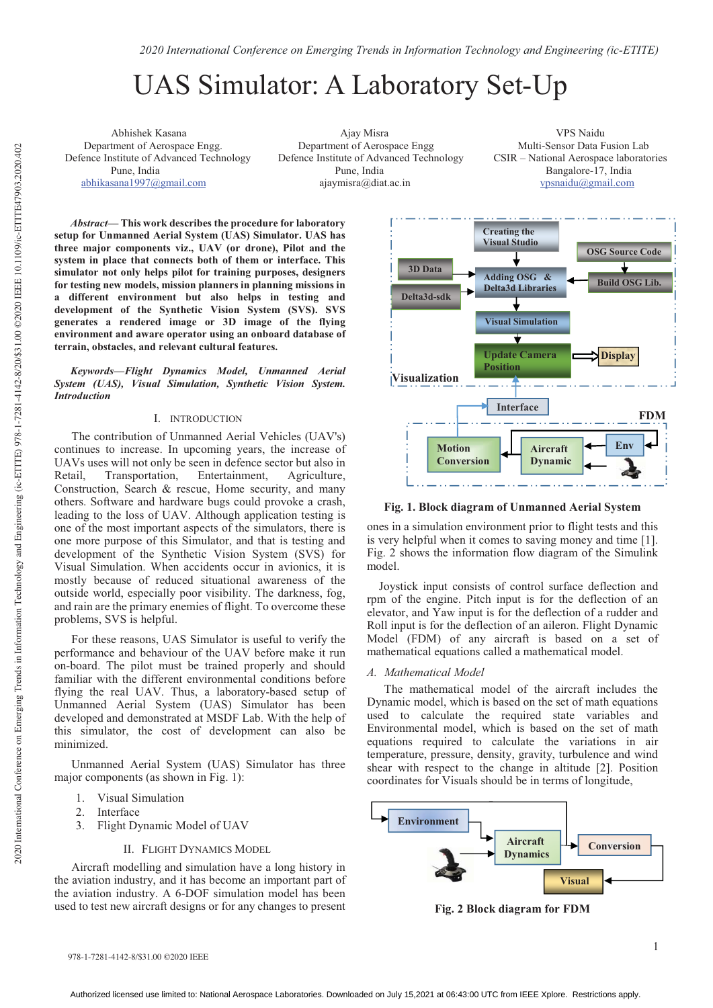# UAS Simulator: A Laboratory Set-Up

Department of Aerospace Engg.<br>
Department of Aerospace Engg Multi-Sensor Data Fusion Lab<br>
Defence Institute of Advanced Technology Defence Institute of Advanced Technology CSIR – National Aerospace laboratories

 Abhishek Kasana Ajay Misra VPS Naidu Defence Institute of Advanced Technology Pune, India Pune, India Bangalore-17, India abhikasana1997@gmail.com ajaymisra@diat.ac.in vpsnaidu@gmail.com

*Abstract***— This work describes the procedure for laboratory setup for Unmanned Aerial System (UAS) Simulator. UAS has three major components viz., UAV (or drone), Pilot and the system in place that connects both of them or interface. This simulator not only helps pilot for training purposes, designers for testing new models, mission planners in planning missions in a different environment but also helps in testing and development of the Synthetic Vision System (SVS). SVS generates a rendered image or 3D image of the flying environment and aware operator using an onboard database of terrain, obstacles, and relevant cultural features.**

*Keywords—Flight Dynamics Model, Unmanned Aerial System (UAS), Visual Simulation, Synthetic Vision System. Introduction* 

### I. INTRODUCTION

The contribution of Unmanned Aerial Vehicles (UAV's) continues to increase. In upcoming years, the increase of UAVs uses will not only be seen in defence sector but also in Retail, Transportation, Entertainment, Agriculture, Construction, Search & rescue, Home security, and many others. Software and hardware bugs could provoke a crash, leading to the loss of UAV. Although application testing is one of the most important aspects of the simulators, there is one more purpose of this Simulator, and that is testing and development of the Synthetic Vision System (SVS) for Visual Simulation. When accidents occur in avionics, it is mostly because of reduced situational awareness of the outside world, especially poor visibility. The darkness, fog, and rain are the primary enemies of flight. To overcome these problems, SVS is helpful.

For these reasons, UAS Simulator is useful to verify the performance and behaviour of the UAV before make it run on-board. The pilot must be trained properly and should familiar with the different environmental conditions before flying the real UAV. Thus, a laboratory-based setup of Unmanned Aerial System (UAS) Simulator has been developed and demonstrated at MSDF Lab. With the help of this simulator, the cost of development can also be minimized.

Unmanned Aerial System (UAS) Simulator has three major components (as shown in Fig. 1):

- 1. Visual Simulation
- 2. Interface
- 3. Flight Dynamic Model of UAV

## II. FLIGHT DYNAMICS MODEL

Aircraft modelling and simulation have a long history in the aviation industry, and it has become an important part of the aviation industry. A 6-DOF simulation model has been used to test new aircraft designs or for any changes to present



**Fig. 1. Block diagram of Unmanned Aerial System** 

ones in a simulation environment prior to flight tests and this is very helpful when it comes to saving money and time [1]. Fig. 2 shows the information flow diagram of the Simulink model.

 Joystick input consists of control surface deflection and rpm of the engine. Pitch input is for the deflection of an elevator, and Yaw input is for the deflection of a rudder and Roll input is for the deflection of an aileron. Flight Dynamic Model (FDM) of any aircraft is based on a set of mathematical equations called a mathematical model.

## *A. Mathematical Model*

The mathematical model of the aircraft includes the Dynamic model, which is based on the set of math equations used to calculate the required state variables and Environmental model, which is based on the set of math equations required to calculate the variations in air temperature, pressure, density, gravity, turbulence and wind shear with respect to the change in altitude [2]. Position coordinates for Visuals should be in terms of longitude,



**Fig. 2 Block diagram for FDM**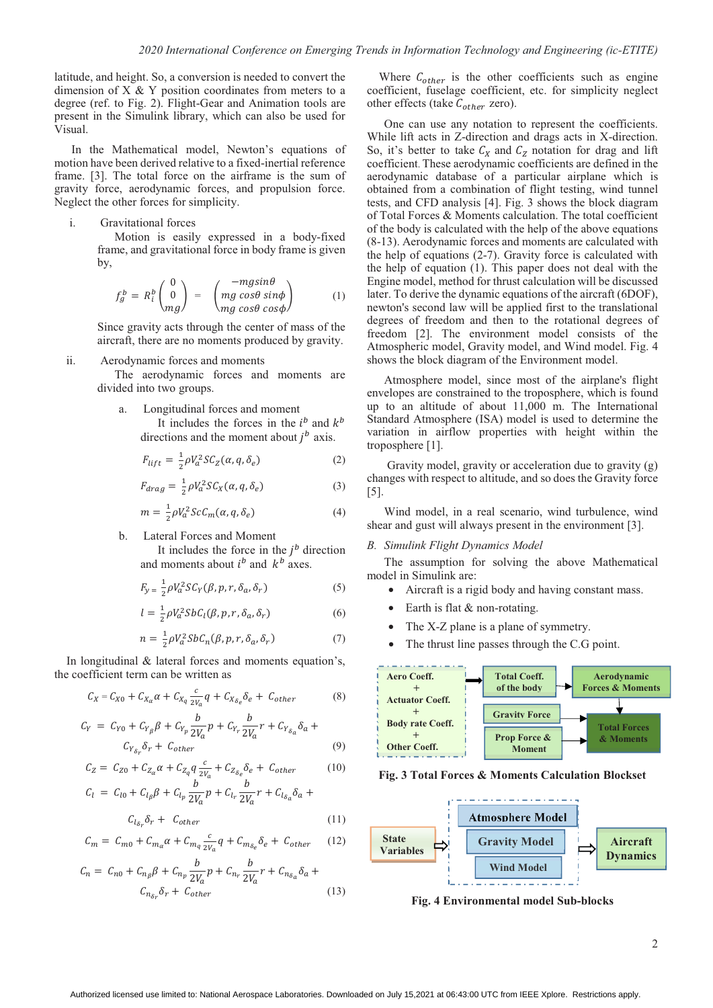latitude, and height. So, a conversion is needed to convert the dimension of  $X \& Y$  position coordinates from meters to a degree (ref. to Fig. 2). Flight-Gear and Animation tools are present in the Simulink library, which can also be used for Visual.

In the Mathematical model, Newton's equations of motion have been derived relative to a fixed-inertial reference frame. [3]. The total force on the airframe is the sum of gravity force, aerodynamic forces, and propulsion force. Neglect the other forces for simplicity.

i. Gravitational forces

Motion is easily expressed in a body-fixed frame, and gravitational force in body frame is given by,

$$
f_g^b = R_i^b \begin{pmatrix} 0 \\ 0 \\ mg \end{pmatrix} = \begin{pmatrix} -mg\sin\theta \\ mg\cos\theta\sin\phi \\ mg\cos\theta\cos\phi \end{pmatrix}
$$
 (1)

Since gravity acts through the center of mass of the aircraft, there are no moments produced by gravity.

ii. Aerodynamic forces and moments

The aerodynamic forces and moments are divided into two groups.

a. Longitudinal forces and moment It includes the forces in the  $i^b$  and  $k^b$ directions and the moment about  $i^b$  axis.

$$
F_{lift} = \frac{1}{2} \rho V_a^2 S C_Z(\alpha, q, \delta_e)
$$
 (2)

$$
F_{drag} = \frac{1}{2} \rho V_a^2 S C_X(\alpha, q, \delta_e)
$$
 (3)

$$
m = \frac{1}{2} \rho V_a^2 ScC_m(\alpha, q, \delta_e)
$$
 (4)

b. Lateral Forces and Moment

It includes the force in the  $j^b$  direction and moments about  $i^b$  and  $k^b$  axes.

$$
F_{y} = \frac{1}{2} \rho V_a^2 S C_Y(\beta, p, r, \delta_a, \delta_r)
$$
 (5)

$$
l = \frac{1}{2} \rho V_a^2 S b C_l(\beta, p, r, \delta_a, \delta_r)
$$
 (6)

$$
n = \frac{1}{2} \rho V_a^2 S b C_n(\beta, p, r, \delta_a, \delta_r)
$$
 (7)

In longitudinal & lateral forces and moments equation's, the coefficient term can be written as

$$
C_X = C_{X0} + C_{Xa} \alpha + C_{Xq} \frac{c}{2V_a} q + C_{X\delta_e} \delta_e + C_{other}
$$
 (8)

$$
C_{Y} = C_{Y0} + C_{Y_{\beta}} \beta + C_{Y_{p}} \frac{b}{2V_{a}} p + C_{Y_{r}} \frac{b}{2V_{a}} r + C_{Y_{\delta_{a}}} \delta_{a} + C_{Y_{\delta_{r}} \delta_{r} + C_{other}}
$$
\n(9)

$$
C_Z = C_{Z0} + C_{Z_\alpha} \alpha + C_{Z_q} q \frac{c}{2V_\alpha} + C_{Z_{\delta_e}} \delta_e + C_{other}
$$
 (10)

$$
C_{l} = C_{l0} + C_{l\beta}\beta + C_{l\gamma}\frac{b}{2V_{a}}p + C_{l\gamma}\frac{b}{2V_{a}}r + C_{l\delta_{a}}\delta_{a} +
$$

$$
C_{l_{\delta_r}} \delta_r + C_{other}
$$
\n
$$
C_m = C_{m0} + C_{m_\alpha} \alpha + C_{m_q} \frac{c}{2V_a} q + C_{m_{\delta_e}} \delta_e + C_{other}
$$
\n(12)

$$
C_n = C_{n0} + C_{n_{\beta}}\beta + C_{n_p} \frac{b}{2V_a} p + C_{n_r} \frac{b}{2V_a} r + C_{n_{\delta_a}} \delta_a + C_{n_{\delta_p}} \delta_r + C_{other}
$$
\n(13)

Where  $C_{other}$  is the other coefficients such as engine coefficient, fuselage coefficient, etc. for simplicity neglect other effects (take  $C_{other}$  zero).

One can use any notation to represent the coefficients. While lift acts in Z-direction and drags acts in X-direction. So, it's better to take  $C_X$  and  $C_Z$  notation for drag and lift coefficient. These aerodynamic coefficients are defined in the aerodynamic database of a particular airplane which is obtained from a combination of flight testing, wind tunnel tests, and CFD analysis [4]. Fig. 3 shows the block diagram of Total Forces & Moments calculation. The total coefficient of the body is calculated with the help of the above equations (8-13). Aerodynamic forces and moments are calculated with the help of equations (2-7). Gravity force is calculated with the help of equation (1). This paper does not deal with the Engine model, method for thrust calculation will be discussed later. To derive the dynamic equations of the aircraft (6DOF), newton's second law will be applied first to the translational degrees of freedom and then to the rotational degrees of freedom [2]. The environment model consists of the Atmospheric model, Gravity model, and Wind model. Fig. 4 shows the block diagram of the Environment model.

Atmosphere model, since most of the airplane's flight envelopes are constrained to the troposphere, which is found up to an altitude of about 11,000 m. The International Standard Atmosphere (ISA) model is used to determine the variation in airflow properties with height within the troposphere [1].

 Gravity model, gravity or acceleration due to gravity (g) changes with respect to altitude, and so does the Gravity force [5].

Wind model, in a real scenario, wind turbulence, wind shear and gust will always present in the environment [3].

# *B. Simulink Flight Dynamics Model*

The assumption for solving the above Mathematical model in Simulink are:

- Aircraft is a rigid body and having constant mass.
- Earth is flat  $&$  non-rotating.
- The X-Z plane is a plane of symmetry.
- The thrust line passes through the C.G point.



**Fig. 3 Total Forces & Moments Calculation Blockset** 



**Fig. 4 Environmental model Sub-blocks**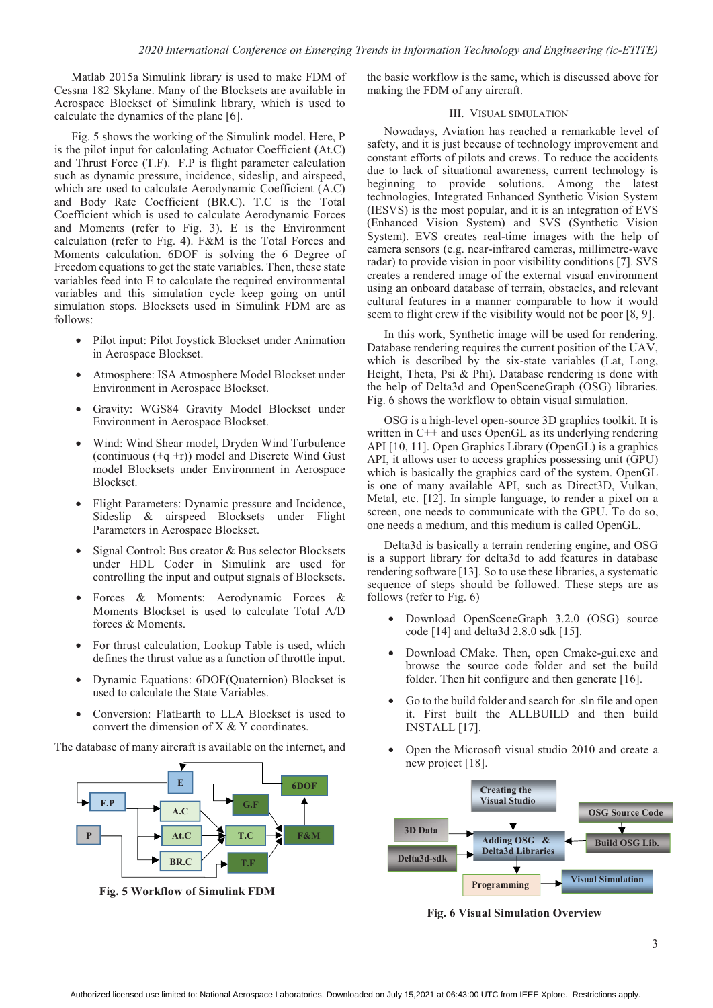Matlab 2015a Simulink library is used to make FDM of Cessna 182 Skylane. Many of the Blocksets are available in Aerospace Blockset of Simulink library, which is used to calculate the dynamics of the plane [6].

Fig. 5 shows the working of the Simulink model. Here, P is the pilot input for calculating Actuator Coefficient (At.C) and Thrust Force (T.F). F.P is flight parameter calculation such as dynamic pressure, incidence, sideslip, and airspeed, which are used to calculate Aerodynamic Coefficient (A.C) and Body Rate Coefficient (BR.C). T.C is the Total Coefficient which is used to calculate Aerodynamic Forces and Moments (refer to Fig. 3). E is the Environment calculation (refer to Fig. 4). F&M is the Total Forces and Moments calculation. 6DOF is solving the 6 Degree of Freedom equations to get the state variables. Then, these state variables feed into E to calculate the required environmental variables and this simulation cycle keep going on until simulation stops. Blocksets used in Simulink FDM are as follows:

- Pilot input: Pilot Joystick Blockset under Animation in Aerospace Blockset.
- Atmosphere: ISA Atmosphere Model Blockset under Environment in Aerospace Blockset.
- Gravity: WGS84 Gravity Model Blockset under Environment in Aerospace Blockset.
- Wind: Wind Shear model, Dryden Wind Turbulence (continuous (+q +r)) model and Discrete Wind Gust model Blocksets under Environment in Aerospace Blockset.
- Flight Parameters: Dynamic pressure and Incidence, Sideslip & airspeed Blocksets under Flight Parameters in Aerospace Blockset.
- Signal Control: Bus creator & Bus selector Blocksets under HDL Coder in Simulink are used for controlling the input and output signals of Blocksets.
- Forces & Moments: Aerodynamic Forces & Moments Blockset is used to calculate Total A/D forces & Moments.
- For thrust calculation, Lookup Table is used, which defines the thrust value as a function of throttle input.
- Dynamic Equations: 6DOF(Quaternion) Blockset is used to calculate the State Variables.
- Conversion: FlatEarth to LLA Blockset is used to convert the dimension of X & Y coordinates.

The database of many aircraft is available on the internet, and



**Fig. 5 Workflow of Simulink FDM** 

the basic workflow is the same, which is discussed above for making the FDM of any aircraft.

# III. VISUAL SIMULATION

Nowadays, Aviation has reached a remarkable level of safety, and it is just because of technology improvement and constant efforts of pilots and crews. To reduce the accidents due to lack of situational awareness, current technology is beginning to provide solutions. Among the latest technologies, Integrated Enhanced Synthetic Vision System (IESVS) is the most popular, and it is an integration of EVS (Enhanced Vision System) and SVS (Synthetic Vision System). EVS creates real-time images with the help of camera sensors (e.g. near-infrared cameras, millimetre-wave radar) to provide vision in poor visibility conditions [7]. SVS creates a rendered image of the external visual environment using an onboard database of terrain, obstacles, and relevant cultural features in a manner comparable to how it would seem to flight crew if the visibility would not be poor [8, 9].

In this work, Synthetic image will be used for rendering. Database rendering requires the current position of the UAV, which is described by the six-state variables (Lat, Long, Height, Theta, Psi & Phi). Database rendering is done with the help of Delta3d and OpenSceneGraph (OSG) libraries. Fig. 6 shows the workflow to obtain visual simulation.

OSG is a high-level open-source 3D graphics toolkit. It is written in C++ and uses OpenGL as its underlying rendering API [10, 11]. Open Graphics Library (OpenGL) is a graphics API, it allows user to access graphics possessing unit (GPU) which is basically the graphics card of the system. OpenGL is one of many available API, such as Direct3D, Vulkan, Metal, etc. [12]. In simple language, to render a pixel on a screen, one needs to communicate with the GPU. To do so, one needs a medium, and this medium is called OpenGL.

Delta3d is basically a terrain rendering engine, and OSG is a support library for delta3d to add features in database rendering software [13]. So to use these libraries, a systematic sequence of steps should be followed. These steps are as follows (refer to Fig. 6)

- Download OpenSceneGraph 3.2.0 (OSG) source code [14] and delta3d 2.8.0 sdk [15].
- Download CMake. Then, open Cmake-gui.exe and browse the source code folder and set the build folder. Then hit configure and then generate [16].
- Go to the build folder and search for .sln file and open it. First built the ALLBUILD and then build INSTALL [17].
- Open the Microsoft visual studio 2010 and create a new project [18].



 **Fig. 6 Visual Simulation Overview**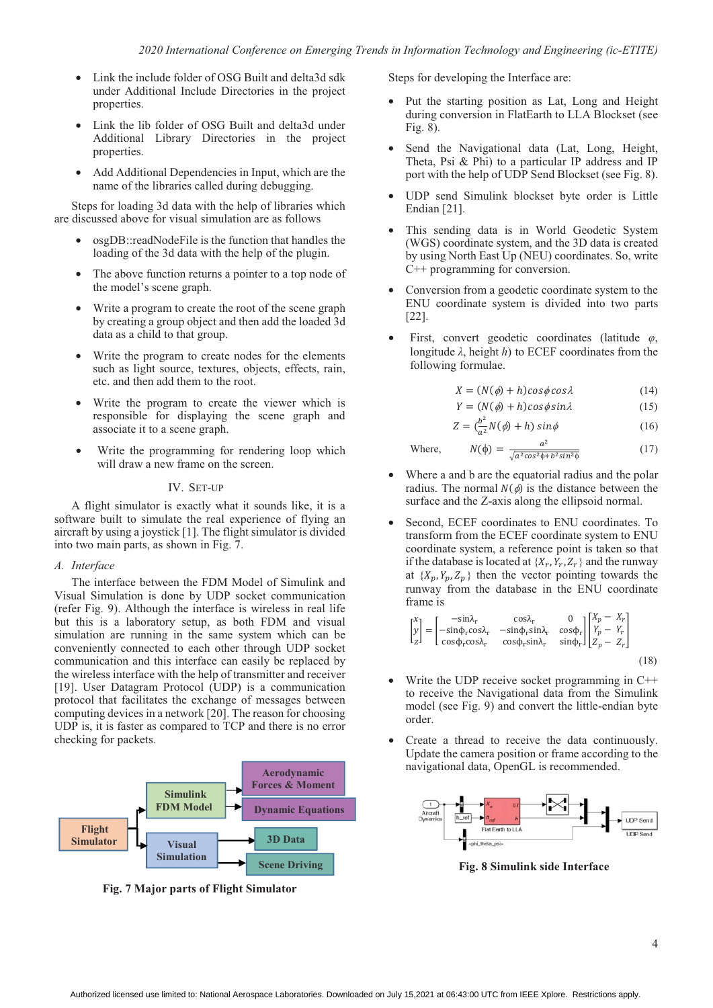- Link the include folder of OSG Built and delta3d sdk under Additional Include Directories in the project properties.
- Link the lib folder of OSG Built and delta3d under Additional Library Directories in the project properties.
- Add Additional Dependencies in Input, which are the name of the libraries called during debugging.

Steps for loading 3d data with the help of libraries which are discussed above for visual simulation are as follows

- osgDB::readNodeFile is the function that handles the loading of the 3d data with the help of the plugin.
- The above function returns a pointer to a top node of the model's scene graph.
- Write a program to create the root of the scene graph by creating a group object and then add the loaded 3d data as a child to that group.
- Write the program to create nodes for the elements such as light source, textures, objects, effects, rain, etc. and then add them to the root.
- Write the program to create the viewer which is responsible for displaying the scene graph and associate it to a scene graph.
- Write the programming for rendering loop which will draw a new frame on the screen.

# IV. SET-UP

A flight simulator is exactly what it sounds like, it is a software built to simulate the real experience of flying an aircraft by using a joystick [1]. The flight simulator is divided into two main parts, as shown in Fig. 7.

## *A. Interface*

The interface between the FDM Model of Simulink and Visual Simulation is done by UDP socket communication (refer Fig. 9). Although the interface is wireless in real life but this is a laboratory setup, as both FDM and visual simulation are running in the same system which can be conveniently connected to each other through UDP socket communication and this interface can easily be replaced by the wireless interface with the help of transmitter and receiver [19]. User Datagram Protocol (UDP) is a communication protocol that facilitates the exchange of messages between computing devices in a network [20]. The reason for choosing UDP is, it is faster as compared to TCP and there is no error checking for packets.



**Fig. 7 Major parts of Flight Simulator** 

Steps for developing the Interface are:

- Put the starting position as Lat, Long and Height during conversion in FlatEarth to LLA Blockset (see Fig. 8).
- Send the Navigational data (Lat, Long, Height, Theta, Psi & Phi) to a particular IP address and IP port with the help of UDP Send Blockset (see Fig. 8).
- UDP send Simulink blockset byte order is Little Endian [21].
- This sending data is in World Geodetic System (WGS) coordinate system, and the 3D data is created by using North East Up (NEU) coordinates. So, write C++ programming for conversion.
- Conversion from a geodetic coordinate system to the ENU coordinate system is divided into two parts [22].
- First, convert geodetic coordinates (latitude  $\varphi$ , longitude  $\lambda$ , height  $h$ ) to ECEF coordinates from the following formulae.

$$
X = (N(\phi) + h)cos\phi cos\lambda \tag{14}
$$

$$
Y = (N(\phi) + h)cos\phi sin\lambda \tag{15}
$$

$$
Z = \left(\frac{b^2}{a^2}N(\phi) + h\right)\sin\phi\tag{16}
$$

(17)

Where,  $) = \frac{a^2}{\sqrt{a^2 \cos^2 \phi + b^2 \sin^2 \phi}}$ 

- Where a and b are the equatorial radius and the polar radius. The normal  $N(\phi)$  is the distance between the surface and the Z-axis along the ellipsoid normal.
- Second, ECEF coordinates to ENU coordinates. To transform from the ECEF coordinate system to ENU coordinate system, a reference point is taken so that if the database is located at  $\{X_r, Y_r, Z_r\}$  and the runway at  $\{X_p, Y_p, Z_p\}$  then the vector pointing towards the runway from the database in the ENU coordinate frame is

$$
\begin{bmatrix} x \ y \ z \end{bmatrix} = \begin{bmatrix} -\sin\lambda_r & \cos\lambda_r & 0 \\ -\sin\phi_r \cos\lambda_r & -\sin\phi_r \sin\lambda_r & \cos\phi_r \\ \cos\phi_r \cos\lambda_r & \cos\phi_r \sin\lambda_r & \sin\phi_r \end{bmatrix} \begin{bmatrix} X_p - X_r \\ Y_p - Y_r \\ Z_p - Z_r \end{bmatrix}
$$
(18)

- Write the UDP receive socket programming in  $C++$ to receive the Navigational data from the Simulink model (see Fig. 9) and convert the little-endian byte order.
- Create a thread to receive the data continuously. Update the camera position or frame according to the navigational data, OpenGL is recommended.



**Fig. 8 Simulink side Interface**